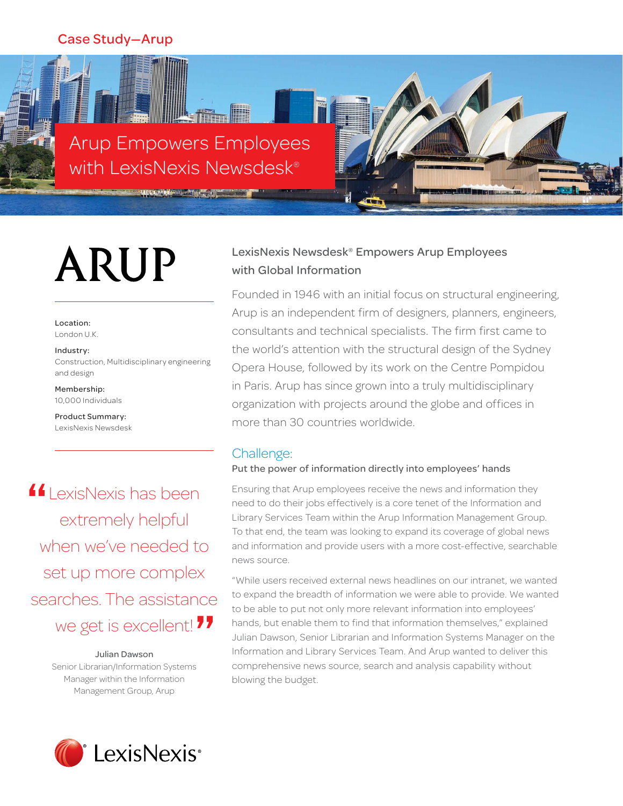# Case Study—Arup



# ARUP

Location: London U.K.

Industry: Construction, Multidisciplinary engineering and design

Membership: 10,000 Individuals

Product Summary: LexisNexis Newsdesk

**14** LexisNexis has been<br>extremely helpful extremely helpful when we've needed to set up more complex searches. The assistance we get is excellent! **"**

Julian Dawson Senior Librarian/Information Systems Manager within the Information Management Group, Arup

# LexisNexis Newsdesk® Empowers Arup Employees with Global Information

Founded in 1946 with an initial focus on structural engineering, Arup is an independent firm of designers, planners, engineers, consultants and technical specialists. The firm first came to the world's attention with the structural design of the Sydney Opera House, followed by its work on the Centre Pompidou in Paris. Arup has since grown into a truly multidisciplinary organization with projects around the globe and offices in more than 30 countries worldwide.

# Challenge:

## Put the power of information directly into employees' hands

Ensuring that Arup employees receive the news and information they need to do their jobs effectively is a core tenet of the Information and Library Services Team within the Arup Information Management Group. To that end, the team was looking to expand its coverage of global news and information and provide users with a more cost-effective, searchable news source.

"While users received external news headlines on our intranet, we wanted to expand the breadth of information we were able to provide. We wanted to be able to put not only more relevant information into employees' hands, but enable them to find that information themselves," explained Julian Dawson, Senior Librarian and Information Systems Manager on the Information and Library Services Team. And Arup wanted to deliver this comprehensive news source, search and analysis capability without blowing the budget.